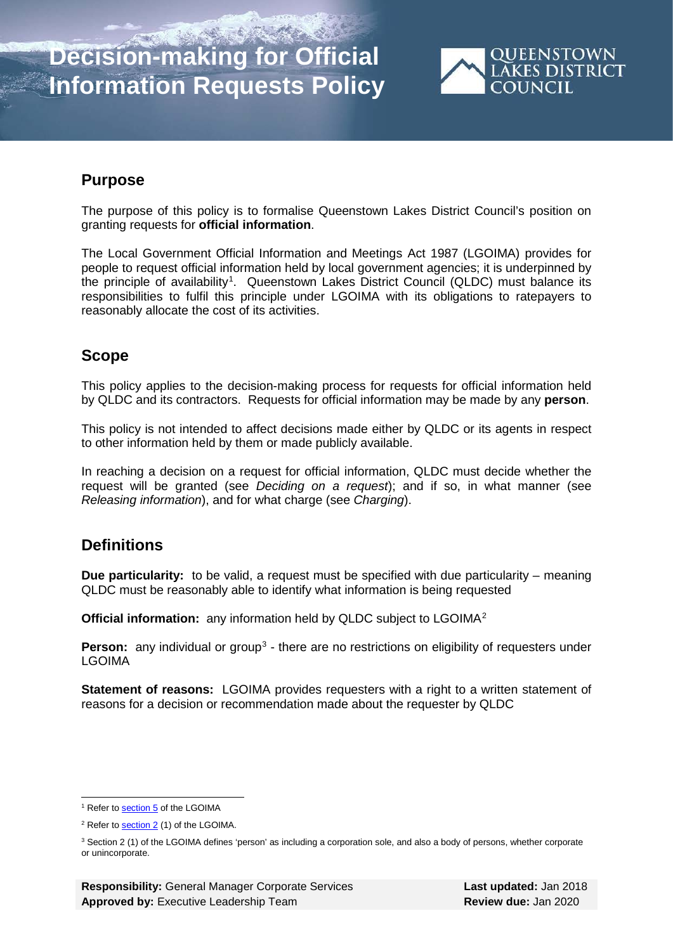# **Decision-making for Official Information Requests Policy**



### **Purpose**

The purpose of this policy is to formalise Queenstown Lakes District Council's position on granting requests for **official information**.

The Local Government Official Information and Meetings Act 1987 (LGOIMA) provides for people to request official information held by local government agencies; it is underpinned by the principle of availability<sup>[1](#page-0-0)</sup>. Queenstown Lakes District Council (QLDC) must balance its responsibilities to fulfil this principle under LGOIMA with its obligations to ratepayers to reasonably allocate the cost of its activities.

## **Scope**

This policy applies to the decision-making process for requests for official information held by QLDC and its contractors. Requests for official information may be made by any **person**.

This policy is not intended to affect decisions made either by QLDC or its agents in respect to other information held by them or made publicly available.

In reaching a decision on a request for official information, QLDC must decide whether the request will be granted (see *Deciding on a request*); and if so, in what manner (see *Releasing information*), and for what charge (see *Charging*).

### **Definitions**

**Due particularity:** to be valid, a request must be specified with due particularity – meaning QLDC must be reasonably able to identify what information is being requested

**Official information:** any information held by QLDC subject to LGOIMA<sup>[2](#page-0-1)</sup>

**Person:** any individual or group<sup>[3](#page-0-2)</sup> - there are no restrictions on eligibility of requesters under LGOIMA

**Statement of reasons:** LGOIMA provides requesters with a right to a written statement of reasons for a decision or recommendation made about the requester by QLDC

<sup>1</sup> Refer to <u>section 5</u> of the LGOIMA

<span id="page-0-1"></span><span id="page-0-0"></span><sup>2</sup> Refer t[o section 2](http://www.legislation.govt.nz/act/public/1987/0174/latest/DLM122247.html?search=ts_act%40bill%40regulation%40deemedreg_local+government+and+official+information+act_resel_25_a&p=1) (1) of the LGOIMA.

<span id="page-0-2"></span><sup>&</sup>lt;sup>3</sup> Section 2 (1) of the LGOIMA defines 'person' as including a corporation sole, and also a body of persons, whether corporate or unincorporate.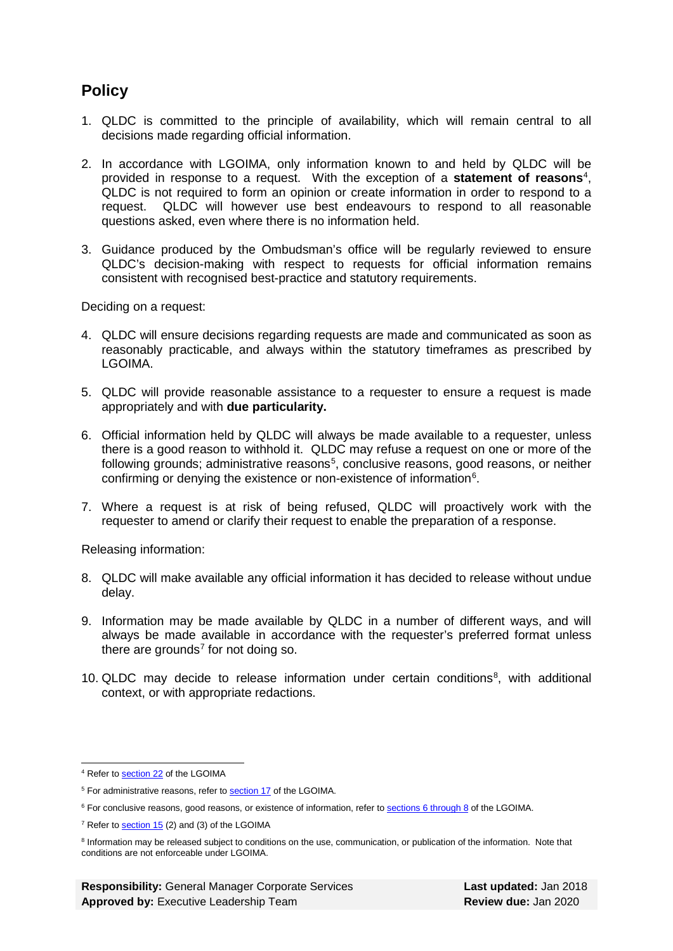### **Policy**

- 1. QLDC is committed to the principle of availability, which will remain central to all decisions made regarding official information.
- 2. In accordance with LGOIMA, only information known to and held by QLDC will be provided in response to a request. With the exception of a **statement of reasons**[4](#page-1-0) , QLDC is not required to form an opinion or create information in order to respond to a request. QLDC will however use best endeavours to respond to all reasonable questions asked, even where there is no information held.
- 3. Guidance produced by the Ombudsman's office will be regularly reviewed to ensure QLDC's decision-making with respect to requests for official information remains consistent with recognised best-practice and statutory requirements.

Deciding on a request:

- 4. QLDC will ensure decisions regarding requests are made and communicated as soon as reasonably practicable, and always within the statutory timeframes as prescribed by LGOIMA.
- 5. QLDC will provide reasonable assistance to a requester to ensure a request is made appropriately and with **due particularity.**
- 6. Official information held by QLDC will always be made available to a requester, unless there is a good reason to withhold it. QLDC may refuse a request on one or more of the following grounds; administrative reasons<sup>[5](#page-1-1)</sup>, conclusive reasons, good reasons, or neither confirming or denying the existence or non-existence of information<sup>[6](#page-1-2)</sup>.
- 7. Where a request is at risk of being refused, QLDC will proactively work with the requester to amend or clarify their request to enable the preparation of a response.

Releasing information:

- 8. QLDC will make available any official information it has decided to release without undue delay.
- 9. Information may be made available by QLDC in a number of different ways, and will always be made available in accordance with the requester's preferred format unless there are grounds<sup>[7](#page-1-3)</sup> for not doing so.
- 10. QLDC may decide to release information under certain conditions $<sup>8</sup>$  $<sup>8</sup>$  $<sup>8</sup>$ , with additional</sup> context, or with appropriate redactions.

<sup>4</sup> Refer to <u>section 22</u> of the LGOIMA

<span id="page-1-1"></span><span id="page-1-0"></span><sup>&</sup>lt;sup>5</sup> For administrative reasons, refer to **section 17** of the LGOIMA.

<span id="page-1-2"></span><sup>&</sup>lt;sup>6</sup> For conclusive reasons, good reasons, or existence of information, refer to **sections [6 through 8](http://www.legislation.govt.nz/act/public/1987/0174/latest/DLM122242.html?search=ts_act%40bill%40regulation%40deemedreg_local+government+and+official+information+act_resel_25_a&p=1#DLM123005)** of the LGOIMA.

<span id="page-1-3"></span><sup>7</sup> Refer t[o section 15](http://www.legislation.govt.nz/act/public/1987/0174/latest/DLM123003.html?search=ts_act%40bill%40regulation%40deemedreg_local+government+and+official+information+act_resel_25_a&p=1) (2) and (3) of the LGOIMA

<span id="page-1-4"></span><sup>&</sup>lt;sup>8</sup> Information may be released subject to conditions on the use, communication, or publication of the information. Note that conditions are not enforceable under LGOIMA.